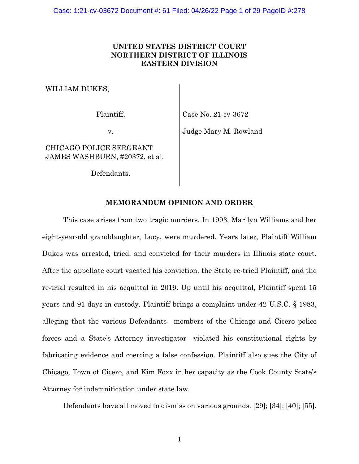# **UNITED STATES DISTRICT COURT NORTHERN DISTRICT OF ILLINOIS EASTERN DIVISION**

WILLIAM DUKES,

Plaintiff,

Case No. 21-cv-3672

v.

Judge Mary M. Rowland

CHICAGO POLICE SERGEANT JAMES WASHBURN, #20372, et al.

Defendants.

# **MEMORANDUM OPINION AND ORDER**

This case arises from two tragic murders. In 1993, Marilyn Williams and her eight-year-old granddaughter, Lucy, were murdered. Years later, Plaintiff William Dukes was arrested, tried, and convicted for their murders in Illinois state court. After the appellate court vacated his conviction, the State re-tried Plaintiff, and the re-trial resulted in his acquittal in 2019. Up until his acquittal, Plaintiff spent 15 years and 91 days in custody. Plaintiff brings a complaint under 42 U.S.C. § 1983, alleging that the various Defendants—members of the Chicago and Cicero police forces and a State's Attorney investigator—violated his constitutional rights by fabricating evidence and coercing a false confession. Plaintiff also sues the City of Chicago, Town of Cicero, and Kim Foxx in her capacity as the Cook County State's Attorney for indemnification under state law.

Defendants have all moved to dismiss on various grounds. [29]; [34]; [40]; [55].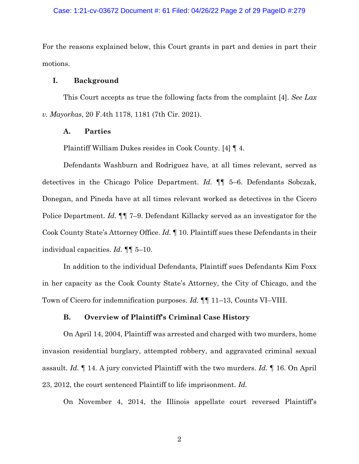## Case: 1:21-cv-03672 Document #: 61 Filed: 04/26/22 Page 2 of 29 PageID #:279

For the reasons explained below, this Court grants in part and denies in part their motions.

## **I. Background**

This Court accepts as true the following facts from the complaint [4]. *See Lax v. Mayorkas*, 20 F.4th 1178, 1181 (7th Cir. 2021).

#### **A. Parties**

Plaintiff William Dukes resides in Cook County. [4] ¶ 4.

Defendants Washburn and Rodriguez have, at all times relevant, served as detectives in the Chicago Police Department. *Id.* ¶¶ 5–6. Defendants Sobczak, Donegan, and Pineda have at all times relevant worked as detectives in the Cicero Police Department. *Id.* ¶¶ 7–9. Defendant Killacky served as an investigator for the Cook County State's Attorney Office. *Id.* ¶ 10. Plaintiff sues these Defendants in their individual capacities. *Id.* ¶¶ 5–10.

In addition to the individual Defendants, Plaintiff sues Defendants Kim Foxx in her capacity as the Cook County State's Attorney, the City of Chicago, and the Town of Cicero for indemnification purposes. *Id.* ¶¶ 11–13, Counts VI–VIII.

### **B. Overview of Plaintiff's Criminal Case History**

On April 14, 2004, Plaintiff was arrested and charged with two murders, home invasion residential burglary, attempted robbery, and aggravated criminal sexual assault. *Id.* ¶ 14. A jury convicted Plaintiff with the two murders. *Id.* ¶ 16. On April 23, 2012, the court sentenced Plaintiff to life imprisonment. *Id.*

On November 4, 2014, the Illinois appellate court reversed Plaintiff's

2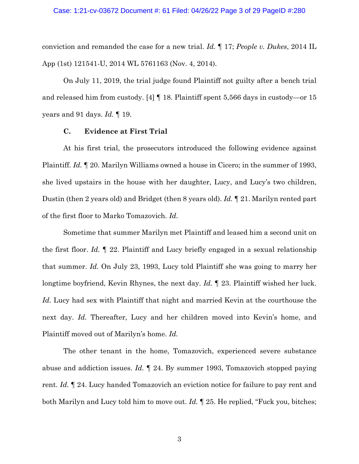conviction and remanded the case for a new trial. *Id.* ¶ 17; *People v. Dukes*, 2014 IL App (1st) 121541-U, 2014 WL 5761163 (Nov. 4, 2014).

On July 11, 2019, the trial judge found Plaintiff not guilty after a bench trial and released him from custody. [4] ¶ 18. Plaintiff spent 5,566 days in custody—or 15 years and 91 days. *Id.* ¶ 19.

#### **C. Evidence at First Trial**

At his first trial, the prosecutors introduced the following evidence against Plaintiff. *Id.* 120. Marilyn Williams owned a house in Cicero; in the summer of 1993, she lived upstairs in the house with her daughter, Lucy, and Lucy's two children, Dustin (then 2 years old) and Bridget (then 8 years old). *Id.* ¶ 21. Marilyn rented part of the first floor to Marko Tomazovich. *Id.*

Sometime that summer Marilyn met Plaintiff and leased him a second unit on the first floor. *Id.* ¶ 22. Plaintiff and Lucy briefly engaged in a sexual relationship that summer. *Id.* On July 23, 1993, Lucy told Plaintiff she was going to marry her longtime boyfriend, Kevin Rhynes, the next day. *Id.* ¶ 23. Plaintiff wished her luck. *Id.* Lucy had sex with Plaintiff that night and married Kevin at the courthouse the next day. *Id.* Thereafter, Lucy and her children moved into Kevin's home, and Plaintiff moved out of Marilyn's home. *Id.*

The other tenant in the home, Tomazovich, experienced severe substance abuse and addiction issues. *Id.* ¶ 24. By summer 1993, Tomazovich stopped paying rent. *Id.* ¶ 24. Lucy handed Tomazovich an eviction notice for failure to pay rent and both Marilyn and Lucy told him to move out. *Id.* ¶ 25. He replied, "Fuck you, bitches;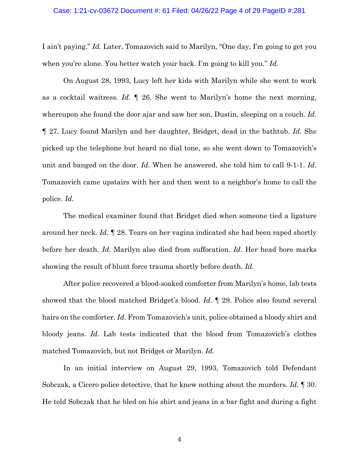#### Case: 1:21-cv-03672 Document #: 61 Filed: 04/26/22 Page 4 of 29 PageID #:281

I ain't paying." *Id.* Later, Tomazovich said to Marilyn, "One day, I'm going to get you when you're alone. You better watch your back. I'm going to kill you." *Id.*

On August 28, 1993, Lucy left her kids with Marilyn while she went to work as a cocktail waitress. *Id.* ¶ 26. She went to Marilyn's home the next morning, whereupon she found the door ajar and saw her son, Dustin, sleeping on a couch. *Id.* ¶ 27. Lucy found Marilyn and her daughter, Bridget, dead in the bathtub. *Id.* She picked up the telephone but heard no dial tone, so she went down to Tomazovich's unit and banged on the door. *Id.* When he answered, she told him to call 9-1-1. *Id.* Tomazovich came upstairs with her and then went to a neighbor's home to call the police. *Id.*

The medical examiner found that Bridget died when someone tied a ligature around her neck. *Id.* ¶ 28. Tears on her vagina indicated she had been raped shortly before her death. *Id.* Marilyn also died from suffocation. *Id.* Her head bore marks showing the result of blunt force trauma shortly before death. *Id.*

After police recovered a blood-soaked comforter from Marilyn's home, lab tests showed that the blood matched Bridget's blood. *Id.* ¶ 29. Police also found several hairs on the comforter. *Id.* From Tomazovich's unit, police obtained a bloody shirt and bloody jeans. *Id.* Lab tests indicated that the blood from Tomazovich's clothes matched Tomazovich, but not Bridget or Marilyn. *Id.*

In an initial interview on August 29, 1993, Tomazovich told Defendant Sobczak, a Cicero police detective, that he knew nothing about the murders. *Id.* ¶ 30. He told Sobczak that he bled on his shirt and jeans in a bar fight and during a fight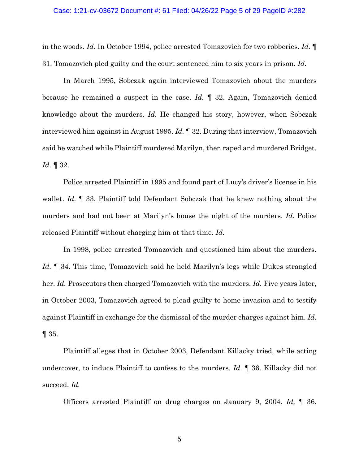in the woods. *Id.* In October 1994, police arrested Tomazovich for two robberies. *Id.* ¶ 31. Tomazovich pled guilty and the court sentenced him to six years in prison. *Id.*

In March 1995, Sobczak again interviewed Tomazovich about the murders because he remained a suspect in the case. *Id.* ¶ 32. Again, Tomazovich denied knowledge about the murders. *Id.* He changed his story, however, when Sobczak interviewed him against in August 1995. *Id.* ¶ 32. During that interview, Tomazovich said he watched while Plaintiff murdered Marilyn, then raped and murdered Bridget. *Id.* ¶ 32.

Police arrested Plaintiff in 1995 and found part of Lucy's driver's license in his wallet. *Id.* ¶ 33. Plaintiff told Defendant Sobczak that he knew nothing about the murders and had not been at Marilyn's house the night of the murders. *Id.* Police released Plaintiff without charging him at that time. *Id.*

In 1998, police arrested Tomazovich and questioned him about the murders. *Id.* ¶ 34. This time, Tomazovich said he held Marilyn's legs while Dukes strangled her. *Id.* Prosecutors then charged Tomazovich with the murders. *Id.* Five years later, in October 2003, Tomazovich agreed to plead guilty to home invasion and to testify against Plaintiff in exchange for the dismissal of the murder charges against him. *Id.*  $\P$  35.

Plaintiff alleges that in October 2003, Defendant Killacky tried, while acting undercover, to induce Plaintiff to confess to the murders. *Id.* ¶ 36. Killacky did not succeed. *Id.*

Officers arrested Plaintiff on drug charges on January 9, 2004. *Id.* ¶ 36.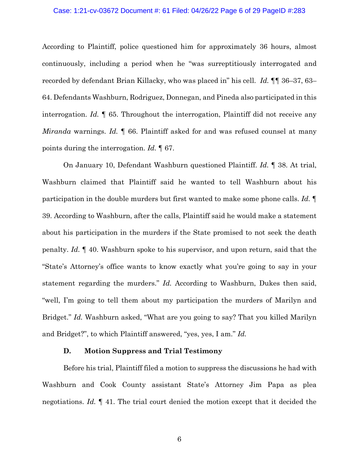### Case: 1:21-cv-03672 Document #: 61 Filed: 04/26/22 Page 6 of 29 PageID #:283

According to Plaintiff, police questioned him for approximately 36 hours, almost continuously, including a period when he "was surreptitiously interrogated and recorded by defendant Brian Killacky, who was placed in" his cell. *Id.* ¶¶ 36–37, 63– 64. Defendants Washburn, Rodriguez, Donnegan, and Pineda also participated in this interrogation. *Id.* ¶ 65. Throughout the interrogation, Plaintiff did not receive any *Miranda* warnings. *Id.* ¶ 66. Plaintiff asked for and was refused counsel at many points during the interrogation. *Id.* ¶ 67.

On January 10, Defendant Washburn questioned Plaintiff. *Id.* ¶ 38. At trial, Washburn claimed that Plaintiff said he wanted to tell Washburn about his participation in the double murders but first wanted to make some phone calls. *Id.* ¶ 39. According to Washburn, after the calls, Plaintiff said he would make a statement about his participation in the murders if the State promised to not seek the death penalty. *Id.* ¶ 40. Washburn spoke to his supervisor, and upon return, said that the "State's Attorney's office wants to know exactly what you're going to say in your statement regarding the murders." *Id.* According to Washburn, Dukes then said, "well, I'm going to tell them about my participation the murders of Marilyn and Bridget." *Id.* Washburn asked, "What are you going to say? That you killed Marilyn and Bridget?", to which Plaintiff answered, "yes, yes, I am." *Id.*

### **D. Motion Suppress and Trial Testimony**

Before his trial, Plaintiff filed a motion to suppress the discussions he had with Washburn and Cook County assistant State's Attorney Jim Papa as plea negotiations. *Id.* ¶ 41. The trial court denied the motion except that it decided the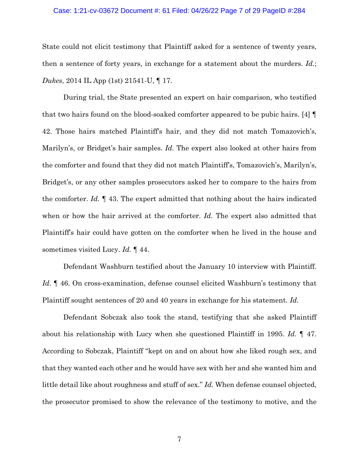## Case: 1:21-cv-03672 Document #: 61 Filed: 04/26/22 Page 7 of 29 PageID #:284

State could not elicit testimony that Plaintiff asked for a sentence of twenty years, then a sentence of forty years, in exchange for a statement about the murders. *Id.*; *Dukes*, 2014 IL App (1st) 21541-U, ¶ 17.

During trial, the State presented an expert on hair comparison, who testified that two hairs found on the blood-soaked comforter appeared to be pubic hairs. [4] ¶ 42. Those hairs matched Plaintiff's hair, and they did not match Tomazovich's, Marilyn's, or Bridget's hair samples. *Id.* The expert also looked at other hairs from the comforter and found that they did not match Plaintiff's, Tomazovich's, Marilyn's, Bridget's, or any other samples prosecutors asked her to compare to the hairs from the comforter. *Id.* ¶ 43. The expert admitted that nothing about the hairs indicated when or how the hair arrived at the comforter. *Id*. The expert also admitted that Plaintiff's hair could have gotten on the comforter when he lived in the house and sometimes visited Lucy. *Id.* ¶ 44.

Defendant Washburn testified about the January 10 interview with Plaintiff. Id.  $\parallel$  46. On cross-examination, defense counsel elicited Washburn's testimony that Plaintiff sought sentences of 20 and 40 years in exchange for his statement. *Id.*

Defendant Sobczak also took the stand, testifying that she asked Plaintiff about his relationship with Lucy when she questioned Plaintiff in 1995. *Id.* ¶ 47. According to Sobczak, Plaintiff "kept on and on about how she liked rough sex, and that they wanted each other and he would have sex with her and she wanted him and little detail like about roughness and stuff of sex." *Id.* When defense counsel objected, the prosecutor promised to show the relevance of the testimony to motive, and the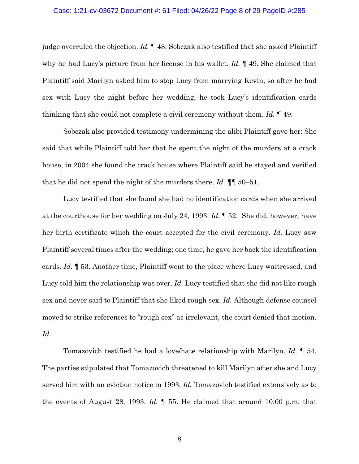#### Case: 1:21-cv-03672 Document #: 61 Filed: 04/26/22 Page 8 of 29 PageID #:285

judge overruled the objection. *Id.* ¶ 48. Sobczak also testified that she asked Plaintiff why he had Lucy's picture from her license in his wallet. *Id.* ¶ 49. She claimed that Plaintiff said Marilyn asked him to stop Lucy from marrying Kevin, so after he had sex with Lucy the night before her wedding, he took Lucy's identification cards thinking that she could not complete a civil ceremony without them. *Id.* ¶ 49.

Sobczak also provided testimony undermining the alibi Plaintiff gave her: She said that while Plaintiff told her that he spent the night of the murders at a crack house, in 2004 she found the crack house where Plaintiff said he stayed and verified that he did not spend the night of the murders there. *Id.* ¶¶ 50–51.

Lucy testified that she found she had no identification cards when she arrived at the courthouse for her wedding on July 24, 1993. *Id.* ¶ 52. She did, however, have her birth certificate which the court accepted for the civil ceremony. *Id.* Lucy saw Plaintiff several times after the wedding; one time, he gave her back the identification cards. *Id.* ¶ 53. Another time, Plaintiff went to the place where Lucy waitressed, and Lucy told him the relationship was over. *Id.* Lucy testified that she did not like rough sex and never said to Plaintiff that she liked rough sex. *Id.* Although defense counsel moved to strike references to "rough sex" as irrelevant, the court denied that motion. *Id.*

Tomazovich testified he had a love/hate relationship with Marilyn. *Id.* ¶ 54. The parties stipulated that Tomazovich threatened to kill Marilyn after she and Lucy served him with an eviction notice in 1993. *Id.* Tomazovich testified extensively as to the events of August 28, 1993. *Id.* ¶ 55. He claimed that around 10:00 p.m. that

8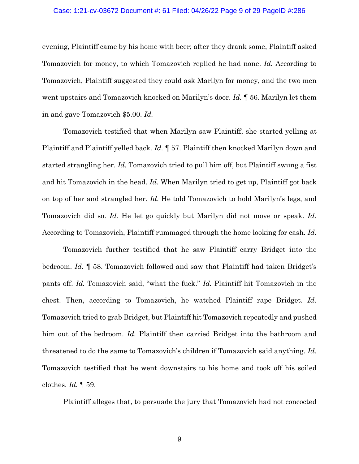## Case: 1:21-cv-03672 Document #: 61 Filed: 04/26/22 Page 9 of 29 PageID #:286

evening, Plaintiff came by his home with beer; after they drank some, Plaintiff asked Tomazovich for money, to which Tomazovich replied he had none. *Id.* According to Tomazovich, Plaintiff suggested they could ask Marilyn for money, and the two men went upstairs and Tomazovich knocked on Marilyn's door. *Id.* ¶ 56. Marilyn let them in and gave Tomazovich \$5.00. *Id.*

Tomazovich testified that when Marilyn saw Plaintiff, she started yelling at Plaintiff and Plaintiff yelled back. *Id.* ¶ 57. Plaintiff then knocked Marilyn down and started strangling her. *Id.* Tomazovich tried to pull him off, but Plaintiff swung a fist and hit Tomazovich in the head. *Id.* When Marilyn tried to get up, Plaintiff got back on top of her and strangled her. *Id.* He told Tomazovich to hold Marilyn's legs, and Tomazovich did so. *Id.* He let go quickly but Marilyn did not move or speak. *Id.* According to Tomazovich, Plaintiff rummaged through the home looking for cash. *Id.*

Tomazovich further testified that he saw Plaintiff carry Bridget into the bedroom. *Id.* ¶ 58. Tomazovich followed and saw that Plaintiff had taken Bridget's pants off. *Id.* Tomazovich said, "what the fuck." *Id.* Plaintiff hit Tomazovich in the chest. Then, according to Tomazovich, he watched Plaintiff rape Bridget. *Id.* Tomazovich tried to grab Bridget, but Plaintiff hit Tomazovich repeatedly and pushed him out of the bedroom. *Id.* Plaintiff then carried Bridget into the bathroom and threatened to do the same to Tomazovich's children if Tomazovich said anything. *Id.* Tomazovich testified that he went downstairs to his home and took off his soiled clothes. *Id.* ¶ 59.

Plaintiff alleges that, to persuade the jury that Tomazovich had not concocted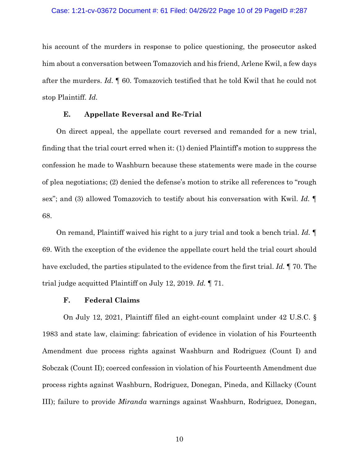#### Case: 1:21-cv-03672 Document #: 61 Filed: 04/26/22 Page 10 of 29 PageID #:287

his account of the murders in response to police questioning, the prosecutor asked him about a conversation between Tomazovich and his friend, Arlene Kwil, a few days after the murders. *Id.* ¶ 60. Tomazovich testified that he told Kwil that he could not stop Plaintiff. *Id.*

# **E. Appellate Reversal and Re-Trial**

On direct appeal, the appellate court reversed and remanded for a new trial, finding that the trial court erred when it: (1) denied Plaintiff's motion to suppress the confession he made to Washburn because these statements were made in the course of plea negotiations; (2) denied the defense's motion to strike all references to "rough sex"; and (3) allowed Tomazovich to testify about his conversation with Kwil. *Id.* ¶ 68.

On remand, Plaintiff waived his right to a jury trial and took a bench trial. *Id.* ¶ 69. With the exception of the evidence the appellate court held the trial court should have excluded, the parties stipulated to the evidence from the first trial. *Id.* ¶ 70. The trial judge acquitted Plaintiff on July 12, 2019. *Id.* ¶ 71.

### **F. Federal Claims**

On July 12, 2021, Plaintiff filed an eight-count complaint under 42 U.S.C. § 1983 and state law, claiming: fabrication of evidence in violation of his Fourteenth Amendment due process rights against Washburn and Rodriguez (Count I) and Sobczak (Count II); coerced confession in violation of his Fourteenth Amendment due process rights against Washburn, Rodriguez, Donegan, Pineda, and Killacky (Count III); failure to provide *Miranda* warnings against Washburn, Rodriguez, Donegan,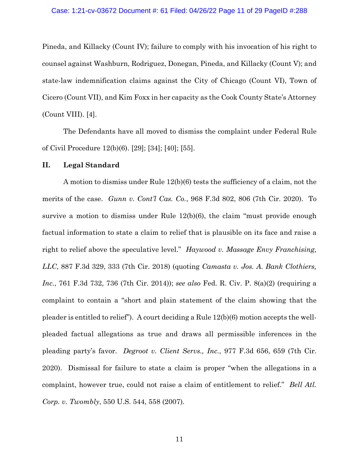Pineda, and Killacky (Count IV); failure to comply with his invocation of his right to counsel against Washburn, Rodriguez, Donegan, Pineda, and Killacky (Count V); and state-law indemnification claims against the City of Chicago (Count VI), Town of Cicero (Count VII), and Kim Foxx in her capacity as the Cook County State's Attorney (Count VIII). [4].

The Defendants have all moved to dismiss the complaint under Federal Rule of Civil Procedure 12(b)(6). [29]; [34]; [40]; [55].

## **II. Legal Standard**

A motion to dismiss under Rule 12(b)(6) tests the sufficiency of a claim, not the merits of the case. *Gunn v. Cont'l Cas. Co.*, 968 F.3d 802, 806 (7th Cir. 2020). To survive a motion to dismiss under Rule  $12(b)(6)$ , the claim "must provide enough factual information to state a claim to relief that is plausible on its face and raise a right to relief above the speculative level." *Haywood v. Massage Envy Franchising, LLC*, 887 F.3d 329, 333 (7th Cir. 2018) (quoting *Camasta v. Jos. A. Bank Clothiers, Inc.*, 761 F.3d 732, 736 (7th Cir. 2014)); *see also* Fed. R. Civ. P. 8(a)(2) (requiring a complaint to contain a "short and plain statement of the claim showing that the pleader is entitled to relief"). A court deciding a Rule 12(b)(6) motion accepts the wellpleaded factual allegations as true and draws all permissible inferences in the pleading party's favor. *Degroot v. Client Servs., Inc.*, 977 F.3d 656, 659 (7th Cir. 2020). Dismissal for failure to state a claim is proper "when the allegations in a complaint, however true, could not raise a claim of entitlement to relief." *Bell Atl. Corp. v. Twombly*, 550 U.S. 544, 558 (2007).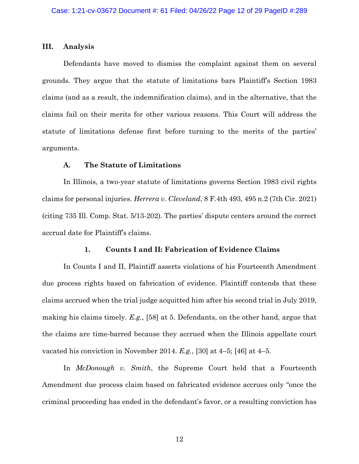#### **III. Analysis**

Defendants have moved to dismiss the complaint against them on several grounds. They argue that the statute of limitations bars Plaintiff's Section 1983 claims (and as a result, the indemnification claims), and in the alternative, that the claims fail on their merits for other various reasons. This Court will address the statute of limitations defense first before turning to the merits of the parties' arguments.

## **A. The Statute of Limitations**

In Illinois, a two-year statute of limitations governs Section 1983 civil rights claims for personal injuries. *Herrera v. Cleveland*, 8 F.4th 493, 495 n.2 (7th Cir. 2021) (citing 735 Ill. Comp. Stat. 5/13-202). The parties' dispute centers around the correct accrual date for Plaintiff's claims.

### **1. Counts I and II: Fabrication of Evidence Claims**

In Counts I and II, Plaintiff asserts violations of his Fourteenth Amendment due process rights based on fabrication of evidence. Plaintiff contends that these claims accrued when the trial judge acquitted him after his second trial in July 2019, making his claims timely. *E.g.*, [58] at 5. Defendants, on the other hand, argue that the claims are time-barred because they accrued when the Illinois appellate court vacated his conviction in November 2014. *E.g.*, [30] at 4–5; [46] at 4–5.

In *McDonough v. Smith*, the Supreme Court held that a Fourteenth Amendment due process claim based on fabricated evidence accrues only "once the criminal proceeding has ended in the defendant's favor, or a resulting conviction has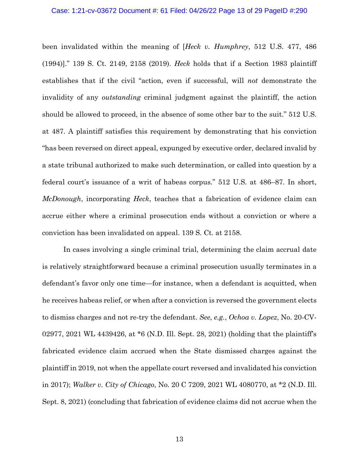## Case: 1:21-cv-03672 Document #: 61 Filed: 04/26/22 Page 13 of 29 PageID #:290

been invalidated within the meaning of [*Heck v. Humphrey*, 512 U.S. 477, 486 (1994)]." 139 S. Ct. 2149, 2158 (2019). *Heck* holds that if a Section 1983 plaintiff establishes that if the civil "action, even if successful, will *not* demonstrate the invalidity of any *outstanding* criminal judgment against the plaintiff, the action should be allowed to proceed, in the absence of some other bar to the suit." 512 U.S. at 487. A plaintiff satisfies this requirement by demonstrating that his conviction "has been reversed on direct appeal, expunged by executive order, declared invalid by a state tribunal authorized to make such determination, or called into question by a federal court's issuance of a writ of habeas corpus." 512 U.S. at 486–87. In short, *McDonough*, incorporating *Heck*, teaches that a fabrication of evidence claim can accrue either where a criminal prosecution ends without a conviction or where a conviction has been invalidated on appeal. 139 S. Ct. at 2158.

In cases involving a single criminal trial, determining the claim accrual date is relatively straightforward because a criminal prosecution usually terminates in a defendant's favor only one time—for instance, when a defendant is acquitted, when he receives habeas relief, or when after a conviction is reversed the government elects to dismiss charges and not re-try the defendant. *See, e.g.*, *Ochoa v. Lopez*, No. 20-CV-02977, 2021 WL 4439426, at \*6 (N.D. Ill. Sept. 28, 2021) (holding that the plaintiff's fabricated evidence claim accrued when the State dismissed charges against the plaintiff in 2019, not when the appellate court reversed and invalidated his conviction in 2017); *Walker v. City of Chicago*, No. 20 C 7209, 2021 WL 4080770, at \*2 (N.D. Ill. Sept. 8, 2021) (concluding that fabrication of evidence claims did not accrue when the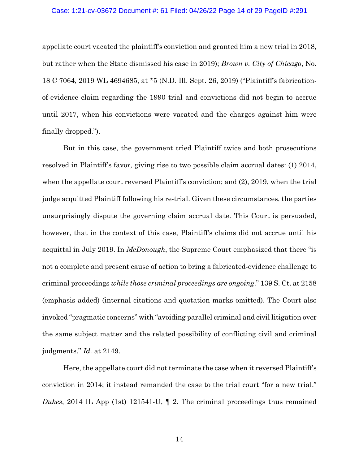### Case: 1:21-cv-03672 Document #: 61 Filed: 04/26/22 Page 14 of 29 PageID #:291

appellate court vacated the plaintiff's conviction and granted him a new trial in 2018, but rather when the State dismissed his case in 2019); *Brown v. City of Chicago*, No. 18 C 7064, 2019 WL 4694685, at \*5 (N.D. Ill. Sept. 26, 2019) ("Plaintiff's fabricationof-evidence claim regarding the 1990 trial and convictions did not begin to accrue until 2017, when his convictions were vacated and the charges against him were finally dropped.").

But in this case, the government tried Plaintiff twice and both prosecutions resolved in Plaintiff's favor, giving rise to two possible claim accrual dates: (1) 2014, when the appellate court reversed Plaintiff's conviction; and (2), 2019, when the trial judge acquitted Plaintiff following his re-trial. Given these circumstances, the parties unsurprisingly dispute the governing claim accrual date. This Court is persuaded, however, that in the context of this case, Plaintiff's claims did not accrue until his acquittal in July 2019. In *McDonough*, the Supreme Court emphasized that there "is not a complete and present cause of action to bring a fabricated-evidence challenge to criminal proceedings *while those criminal proceedings are ongoing*." 139 S. Ct. at 2158 (emphasis added) (internal citations and quotation marks omitted). The Court also invoked "pragmatic concerns" with "avoiding parallel criminal and civil litigation over the same subject matter and the related possibility of conflicting civil and criminal judgments." *Id.* at 2149.

Here, the appellate court did not terminate the case when it reversed Plaintiff's conviction in 2014; it instead remanded the case to the trial court "for a new trial." *Dukes*, 2014 IL App (1st) 121541-U,  $\parallel$  2. The criminal proceedings thus remained

14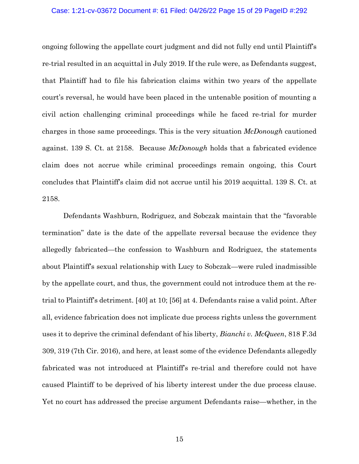## Case: 1:21-cv-03672 Document #: 61 Filed: 04/26/22 Page 15 of 29 PageID #:292

ongoing following the appellate court judgment and did not fully end until Plaintiff's re-trial resulted in an acquittal in July 2019. If the rule were, as Defendants suggest, that Plaintiff had to file his fabrication claims within two years of the appellate court's reversal, he would have been placed in the untenable position of mounting a civil action challenging criminal proceedings while he faced re-trial for murder charges in those same proceedings. This is the very situation *McDonough* cautioned against. 139 S. Ct. at 2158. Because *McDonough* holds that a fabricated evidence claim does not accrue while criminal proceedings remain ongoing, this Court concludes that Plaintiff's claim did not accrue until his 2019 acquittal. 139 S. Ct. at 2158.

Defendants Washburn, Rodriguez, and Sobczak maintain that the "favorable termination" date is the date of the appellate reversal because the evidence they allegedly fabricated—the confession to Washburn and Rodriguez, the statements about Plaintiff's sexual relationship with Lucy to Sobczak—were ruled inadmissible by the appellate court, and thus, the government could not introduce them at the retrial to Plaintiff's detriment. [40] at 10; [56] at 4. Defendants raise a valid point. After all, evidence fabrication does not implicate due process rights unless the government uses it to deprive the criminal defendant of his liberty, *Bianchi v. McQueen*, 818 F.3d 309, 319 (7th Cir. 2016), and here, at least some of the evidence Defendants allegedly fabricated was not introduced at Plaintiff's re-trial and therefore could not have caused Plaintiff to be deprived of his liberty interest under the due process clause. Yet no court has addressed the precise argument Defendants raise—whether, in the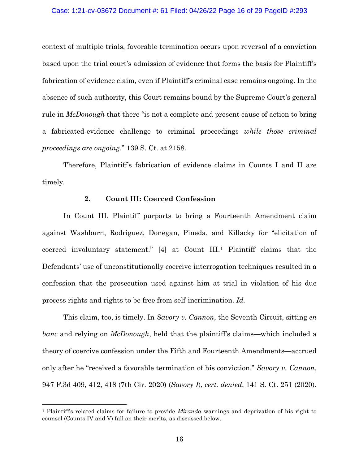## Case: 1:21-cv-03672 Document #: 61 Filed: 04/26/22 Page 16 of 29 PageID #:293

context of multiple trials, favorable termination occurs upon reversal of a conviction based upon the trial court's admission of evidence that forms the basis for Plaintiff's fabrication of evidence claim, even if Plaintiff's criminal case remains ongoing. In the absence of such authority, this Court remains bound by the Supreme Court's general rule in *McDonough* that there "is not a complete and present cause of action to bring a fabricated-evidence challenge to criminal proceedings *while those criminal proceedings are ongoing*." 139 S. Ct. at 2158.

Therefore, Plaintiff's fabrication of evidence claims in Counts I and II are timely.

## **2. Count III: Coerced Confession**

In Count III, Plaintiff purports to bring a Fourteenth Amendment claim against Washburn, Rodriguez, Donegan, Pineda, and Killacky for "elicitation of coerced involuntary statement." [4] at Count III.[1](#page-15-0) Plaintiff claims that the Defendants' use of unconstitutionally coercive interrogation techniques resulted in a confession that the prosecution used against him at trial in violation of his due process rights and rights to be free from self-incrimination. *Id.*

This claim, too, is timely. In *Savory v. Cannon*, the Seventh Circuit, sitting *en banc* and relying on *McDonough*, held that the plaintiff's claims—which included a theory of coercive confession under the Fifth and Fourteenth Amendments—accrued only after he "received a favorable termination of his conviction." *Savory v. Cannon*, 947 F.3d 409, 412, 418 (7th Cir. 2020) (*Savory I*), *cert. denied*, 141 S. Ct. 251 (2020).

<span id="page-15-0"></span><sup>1</sup> Plaintiff's related claims for failure to provide *Miranda* warnings and deprivation of his right to counsel (Counts IV and V) fail on their merits, as discussed below.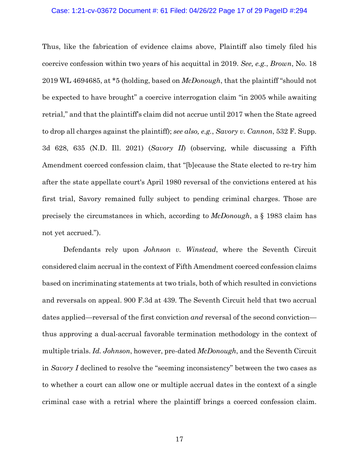### Case: 1:21-cv-03672 Document #: 61 Filed: 04/26/22 Page 17 of 29 PageID #:294

Thus, like the fabrication of evidence claims above, Plaintiff also timely filed his coercive confession within two years of his acquittal in 2019. *See, e.g.*, *Brown*, No. 18 2019 WL 4694685, at \*5 (holding, based on *McDonough*, that the plaintiff "should not be expected to have brought" a coercive interrogation claim "in 2005 while awaiting retrial," and that the plaintiff's claim did not accrue until 2017 when the State agreed to drop all charges against the plaintiff); *see also, e.g.*, *Savory v. Cannon*, 532 F. Supp. 3d 628, 635 (N.D. Ill. 2021) (*Savory II*) (observing, while discussing a Fifth Amendment coerced confession claim, that "[b]ecause the State elected to re-try him after the state appellate court's April 1980 reversal of the convictions entered at his first trial, Savory remained fully subject to pending criminal charges. Those are precisely the circumstances in which, according to *McDonough*, a § 1983 claim has not yet accrued.").

Defendants rely upon *Johnson v. Winstead*, where the Seventh Circuit considered claim accrual in the context of Fifth Amendment coerced confession claims based on incriminating statements at two trials, both of which resulted in convictions and reversals on appeal. 900 F.3d at 439. The Seventh Circuit held that two accrual dates applied—reversal of the first conviction *and* reversal of the second conviction thus approving a dual-accrual favorable termination methodology in the context of multiple trials. *Id. Johnson*, however, pre-dated *McDonough*, and the Seventh Circuit in *Savory I* declined to resolve the "seeming inconsistency" between the two cases as to whether a court can allow one or multiple accrual dates in the context of a single criminal case with a retrial where the plaintiff brings a coerced confession claim.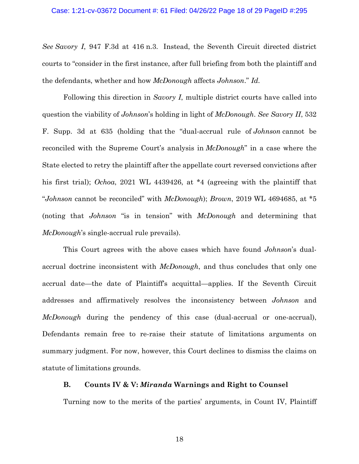## Case: 1:21-cv-03672 Document #: 61 Filed: 04/26/22 Page 18 of 29 PageID #:295

*See Savory I*, 947 F.3d at 416 n.3. Instead, the Seventh Circuit directed district courts to "consider in the first instance, after full briefing from both the plaintiff and the defendants, whether and how *McDonough* affects *Johnson*." *Id.*

Following this direction in *Savory I*, multiple district courts have called into question the viability of *Johnson*'s holding in light of *McDonough*. *See Savory II*, 532 F. Supp. 3d at 635 (holding that the "dual-accrual rule of *Johnson* cannot be reconciled with the Supreme Court's analysis in *McDonough*" in a case where the State elected to retry the plaintiff after the appellate court reversed convictions after his first trial); *Ochoa*, 2021 WL 4439426, at \*4 (agreeing with the plaintiff that "*Johnson* cannot be reconciled" with *McDonough*); *Brown*, 2019 WL 4694685, at \*5 (noting that *Johnson* "is in tension" with *McDonough* and determining that *McDonough*'s single-accrual rule prevails).

This Court agrees with the above cases which have found *Johnson*'s dualaccrual doctrine inconsistent with *McDonough*, and thus concludes that only one accrual date—the date of Plaintiff's acquittal—applies. If the Seventh Circuit addresses and affirmatively resolves the inconsistency between *Johnson* and *McDonough* during the pendency of this case (dual-accrual or one-accrual), Defendants remain free to re-raise their statute of limitations arguments on summary judgment. For now, however, this Court declines to dismiss the claims on statute of limitations grounds.

### **B. Counts IV & V:** *Miranda* **Warnings and Right to Counsel**

Turning now to the merits of the parties' arguments, in Count IV, Plaintiff

18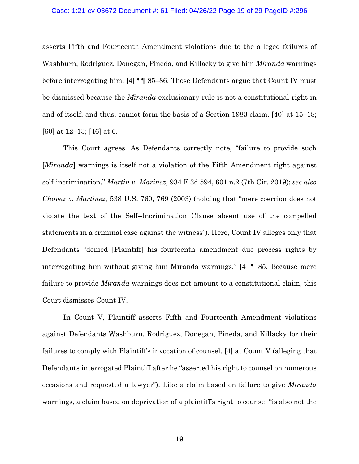#### Case: 1:21-cv-03672 Document #: 61 Filed: 04/26/22 Page 19 of 29 PageID #:296

asserts Fifth and Fourteenth Amendment violations due to the alleged failures of Washburn, Rodriguez, Donegan, Pineda, and Killacky to give him *Miranda* warnings before interrogating him. [4] ¶¶ 85–86. Those Defendants argue that Count IV must be dismissed because the *Miranda* exclusionary rule is not a constitutional right in and of itself, and thus, cannot form the basis of a Section 1983 claim. [40] at 15–18; [60] at 12–13; [46] at 6.

This Court agrees. As Defendants correctly note, "failure to provide such [*Miranda*] warnings is itself not a violation of the Fifth Amendment right against self-incrimination." *Martin v. Marinez*, 934 F.3d 594, 601 n.2 (7th Cir. 2019); *see also Chavez v. Martinez*, 538 U.S. 760, 769 (2003) (holding that "mere coercion does not violate the text of the Self–Incrimination Clause absent use of the compelled statements in a criminal case against the witness"). Here, Count IV alleges only that Defendants "denied [Plaintiff] his fourteenth amendment due process rights by interrogating him without giving him Miranda warnings." [4] ¶ 85. Because mere failure to provide *Miranda* warnings does not amount to a constitutional claim, this Court dismisses Count IV.

In Count V, Plaintiff asserts Fifth and Fourteenth Amendment violations against Defendants Washburn, Rodriguez, Donegan, Pineda, and Killacky for their failures to comply with Plaintiff's invocation of counsel. [4] at Count V (alleging that Defendants interrogated Plaintiff after he "asserted his right to counsel on numerous occasions and requested a lawyer"). Like a claim based on failure to give *Miranda* warnings, a claim based on deprivation of a plaintiff's right to counsel "is also not the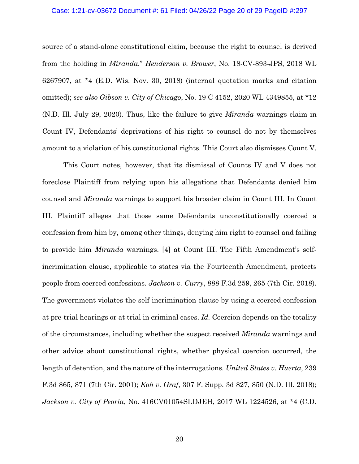## Case: 1:21-cv-03672 Document #: 61 Filed: 04/26/22 Page 20 of 29 PageID #:297

source of a stand-alone constitutional claim, because the right to counsel is derived from the holding in *Miranda*." *Henderson v. Brower*, No. 18-CV-893-JPS, 2018 WL 6267907, at \*4 (E.D. Wis. Nov. 30, 2018) (internal quotation marks and citation omitted); *see also Gibson v. City of Chicago*, No. 19 C 4152, 2020 WL 4349855, at \*12 (N.D. Ill. July 29, 2020). Thus, like the failure to give *Miranda* warnings claim in Count IV, Defendants' deprivations of his right to counsel do not by themselves amount to a violation of his constitutional rights. This Court also dismisses Count V.

This Court notes, however, that its dismissal of Counts IV and V does not foreclose Plaintiff from relying upon his allegations that Defendants denied him counsel and *Miranda* warnings to support his broader claim in Count III. In Count III, Plaintiff alleges that those same Defendants unconstitutionally coerced a confession from him by, among other things, denying him right to counsel and failing to provide him *Miranda* warnings. [4] at Count III. The Fifth Amendment's selfincrimination clause, applicable to states via the Fourteenth Amendment, protects people from coerced confessions. *Jackson v. Curry*, 888 F.3d 259, 265 (7th Cir. 2018). The government violates the self-incrimination clause by using a coerced confession at pre-trial hearings or at trial in criminal cases. *Id.* Coercion depends on the totality of the circumstances, including whether the suspect received *Miranda* warnings and other advice about constitutional rights, whether physical coercion occurred, the length of detention, and the nature of the interrogations*. United States v. Huerta*, 239 F.3d 865, 871 (7th Cir. 2001); *Koh v. Graf*, 307 F. Supp. 3d 827, 850 (N.D. Ill. 2018); *Jackson v. City of Peoria*, No. 416CV01054SLDJEH, 2017 WL 1224526, at \*4 (C.D.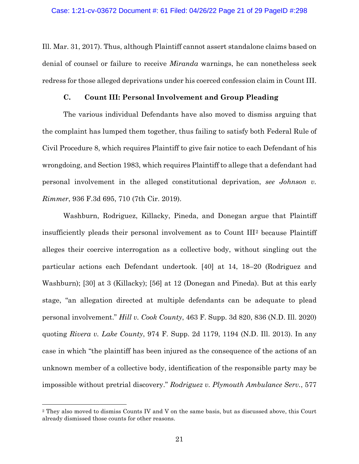Ill. Mar. 31, 2017). Thus, although Plaintiff cannot assert standalone claims based on denial of counsel or failure to receive *Miranda* warnings, he can nonetheless seek redress for those alleged deprivations under his coerced confession claim in Count III.

### **C. Count III: Personal Involvement and Group Pleading**

The various individual Defendants have also moved to dismiss arguing that the complaint has lumped them together, thus failing to satisfy both Federal Rule of Civil Procedure 8, which requires Plaintiff to give fair notice to each Defendant of his wrongdoing, and Section 1983, which requires Plaintiff to allege that a defendant had personal involvement in the alleged constitutional deprivation, *see Johnson v. Rimmer*, 936 F.3d 695, 710 (7th Cir. 2019).

Washburn, Rodriguez, Killacky, Pineda, and Donegan argue that Plaintiff insufficiently pleads their personal involvement as to Count III[2](#page-20-0) because Plaintiff alleges their coercive interrogation as a collective body, without singling out the particular actions each Defendant undertook. [40] at 14, 18–20 (Rodriguez and Washburn); [30] at 3 (Killacky); [56] at 12 (Donegan and Pineda). But at this early stage, "an allegation directed at multiple defendants can be adequate to plead personal involvement." *Hill v. Cook County*, 463 F. Supp. 3d 820, 836 (N.D. Ill. 2020) quoting *Rivera v. Lake County*, 974 F. Supp. 2d 1179, 1194 (N.D. Ill. 2013). In any case in which "the plaintiff has been injured as the consequence of the actions of an unknown member of a collective body, identification of the responsible party may be impossible without pretrial discovery." *Rodriguez v. Plymouth Ambulance Serv.*, 577

<span id="page-20-0"></span><sup>2</sup> They also moved to dismiss Counts IV and V on the same basis, but as discussed above, this Court already dismissed those counts for other reasons.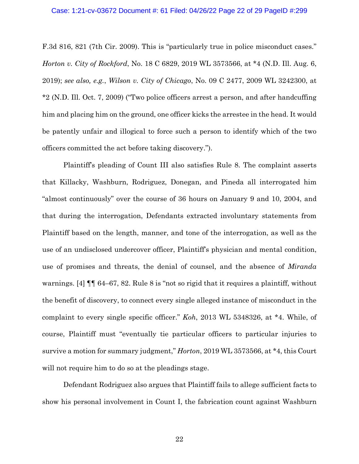## Case: 1:21-cv-03672 Document #: 61 Filed: 04/26/22 Page 22 of 29 PageID #:299

F.3d 816, 821 (7th Cir. 2009). This is "particularly true in police misconduct cases." *Horton v. City of Rockford*, No. 18 C 6829, 2019 WL 3573566, at \*4 (N.D. Ill. Aug. 6, 2019); *see also, e.g.*, *Wilson v. City of Chicago*, No. 09 C 2477, 2009 WL 3242300, at \*2 (N.D. Ill. Oct. 7, 2009) ("Two police officers arrest a person, and after handcuffing him and placing him on the ground, one officer kicks the arrestee in the head. It would be patently unfair and illogical to force such a person to identify which of the two officers committed the act before taking discovery.").

Plaintiff's pleading of Count III also satisfies Rule 8. The complaint asserts that Killacky, Washburn, Rodriguez, Donegan, and Pineda all interrogated him "almost continuously" over the course of 36 hours on January 9 and 10, 2004, and that during the interrogation, Defendants extracted involuntary statements from Plaintiff based on the length, manner, and tone of the interrogation, as well as the use of an undisclosed undercover officer, Plaintiff's physician and mental condition, use of promises and threats, the denial of counsel, and the absence of *Miranda* warnings. [4] ¶¶ 64–67, 82. Rule 8 is "not so rigid that it requires a plaintiff, without the benefit of discovery, to connect every single alleged instance of misconduct in the complaint to every single specific officer." *Koh*, 2013 WL 5348326, at \*4. While, of course, Plaintiff must "eventually tie particular officers to particular injuries to survive a motion for summary judgment," *Horton*, 2019 WL 3573566, at \*4, this Court will not require him to do so at the pleadings stage.

Defendant Rodriguez also argues that Plaintiff fails to allege sufficient facts to show his personal involvement in Count I, the fabrication count against Washburn

22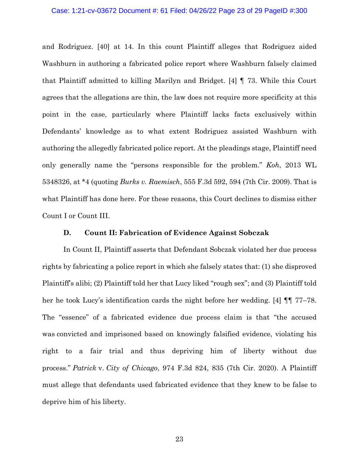## Case: 1:21-cv-03672 Document #: 61 Filed: 04/26/22 Page 23 of 29 PageID #:300

and Rodriguez. [40] at 14. In this count Plaintiff alleges that Rodriguez aided Washburn in authoring a fabricated police report where Washburn falsely claimed that Plaintiff admitted to killing Marilyn and Bridget. [4] ¶ 73. While this Court agrees that the allegations are thin, the law does not require more specificity at this point in the case, particularly where Plaintiff lacks facts exclusively within Defendants' knowledge as to what extent Rodriguez assisted Washburn with authoring the allegedly fabricated police report. At the pleadings stage, Plaintiff need only generally name the "persons responsible for the problem." *Koh*, 2013 WL 5348326, at \*4 (quoting *Burks v. Raemisch*, 555 F.3d 592, 594 (7th Cir. 2009). That is what Plaintiff has done here. For these reasons, this Court declines to dismiss either Count I or Count III.

### **D. Count II: Fabrication of Evidence Against Sobczak**

In Count II, Plaintiff asserts that Defendant Sobczak violated her due process rights by fabricating a police report in which she falsely states that: (1) she disproved Plaintiff's alibi; (2) Plaintiff told her that Lucy liked "rough sex"; and (3) Plaintiff told her he took Lucy's identification cards the night before her wedding. [4] ¶¶ 77–78. The "essence" of a fabricated evidence due process claim is that "the accused was convicted and imprisoned based on knowingly falsified evidence, violating his right to a fair trial and thus depriving him of liberty without due process." *Patrick* v. *City of Chicago*, 974 F.3d 824, 835 (7th Cir. 2020). A Plaintiff must allege that defendants used fabricated evidence that they knew to be false to deprive him of his liberty.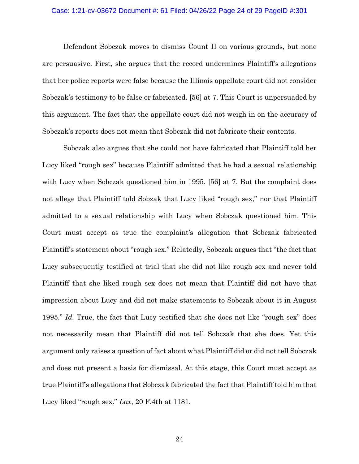## Case: 1:21-cv-03672 Document #: 61 Filed: 04/26/22 Page 24 of 29 PageID #:301

Defendant Sobczak moves to dismiss Count II on various grounds, but none are persuasive. First, she argues that the record undermines Plaintiff's allegations that her police reports were false because the Illinois appellate court did not consider Sobczak's testimony to be false or fabricated. [56] at 7. This Court is unpersuaded by this argument. The fact that the appellate court did not weigh in on the accuracy of Sobczak's reports does not mean that Sobczak did not fabricate their contents.

Sobczak also argues that she could not have fabricated that Plaintiff told her Lucy liked "rough sex" because Plaintiff admitted that he had a sexual relationship with Lucy when Sobczak questioned him in 1995. [56] at 7. But the complaint does not allege that Plaintiff told Sobzak that Lucy liked "rough sex," nor that Plaintiff admitted to a sexual relationship with Lucy when Sobczak questioned him. This Court must accept as true the complaint's allegation that Sobczak fabricated Plaintiff's statement about "rough sex." Relatedly, Sobczak argues that "the fact that Lucy subsequently testified at trial that she did not like rough sex and never told Plaintiff that she liked rough sex does not mean that Plaintiff did not have that impression about Lucy and did not make statements to Sobczak about it in August 1995." *Id.* True, the fact that Lucy testified that she does not like "rough sex" does not necessarily mean that Plaintiff did not tell Sobczak that she does. Yet this argument only raises a question of fact about what Plaintiff did or did not tell Sobczak and does not present a basis for dismissal. At this stage, this Court must accept as true Plaintiff's allegations that Sobczak fabricated the fact that Plaintiff told him that Lucy liked "rough sex." *Lax*, 20 F.4th at 1181.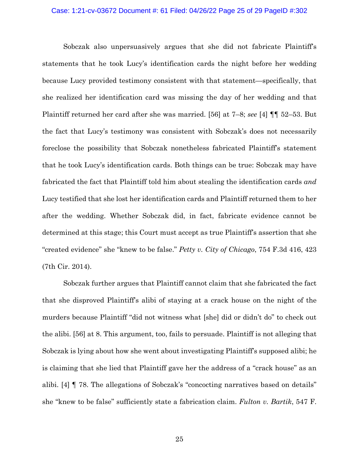#### Case: 1:21-cv-03672 Document #: 61 Filed: 04/26/22 Page 25 of 29 PageID #:302

Sobczak also unpersuasively argues that she did not fabricate Plaintiff's statements that he took Lucy's identification cards the night before her wedding because Lucy provided testimony consistent with that statement—specifically, that she realized her identification card was missing the day of her wedding and that Plaintiff returned her card after she was married. [56] at 7–8; *see* [4] ¶¶ 52–53. But the fact that Lucy's testimony was consistent with Sobczak's does not necessarily foreclose the possibility that Sobczak nonetheless fabricated Plaintiff's statement that he took Lucy's identification cards. Both things can be true: Sobczak may have fabricated the fact that Plaintiff told him about stealing the identification cards *and* Lucy testified that she lost her identification cards and Plaintiff returned them to her after the wedding. Whether Sobczak did, in fact, fabricate evidence cannot be determined at this stage; this Court must accept as true Plaintiff's assertion that she "created evidence" she "knew to be false." *Petty v. City of Chicago*, 754 F.3d 416, 423 (7th Cir. 2014).

Sobczak further argues that Plaintiff cannot claim that she fabricated the fact that she disproved Plaintiff's alibi of staying at a crack house on the night of the murders because Plaintiff "did not witness what [she] did or didn't do" to check out the alibi. [56] at 8. This argument, too, fails to persuade. Plaintiff is not alleging that Sobczak is lying about how she went about investigating Plaintiff's supposed alibi; he is claiming that she lied that Plaintiff gave her the address of a "crack house" as an alibi. [4] ¶ 78. The allegations of Sobczak's "concocting narratives based on details" she "knew to be false" sufficiently state a fabrication claim. *Fulton v. Bartik*, 547 F.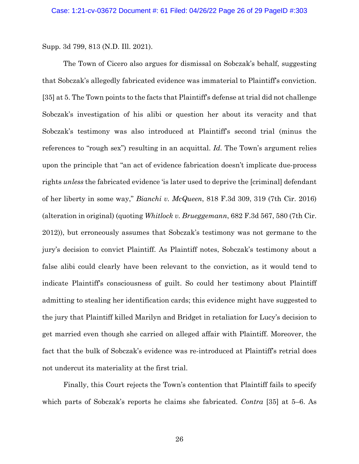Supp. 3d 799, 813 (N.D. Ill. 2021).

The Town of Cicero also argues for dismissal on Sobczak's behalf, suggesting that Sobczak's allegedly fabricated evidence was immaterial to Plaintiff's conviction. [35] at 5. The Town points to the facts that Plaintiff's defense at trial did not challenge Sobczak's investigation of his alibi or question her about its veracity and that Sobczak's testimony was also introduced at Plaintiff's second trial (minus the references to "rough sex") resulting in an acquittal. *Id.* The Town's argument relies upon the principle that "an act of evidence fabrication doesn't implicate due-process rights *unless* the fabricated evidence 'is later used to deprive the [criminal] defendant of her liberty in some way," *Bianchi v. McQueen*, 818 F.3d 309, 319 (7th Cir. 2016) (alteration in original) (quoting *Whitlock v. Brueggemann*, 682 F.3d 567, 580 (7th Cir. 2012)), but erroneously assumes that Sobczak's testimony was not germane to the jury's decision to convict Plaintiff. As Plaintiff notes, Sobczak's testimony about a false alibi could clearly have been relevant to the conviction, as it would tend to indicate Plaintiff's consciousness of guilt. So could her testimony about Plaintiff admitting to stealing her identification cards; this evidence might have suggested to the jury that Plaintiff killed Marilyn and Bridget in retaliation for Lucy's decision to get married even though she carried on alleged affair with Plaintiff. Moreover, the fact that the bulk of Sobczak's evidence was re-introduced at Plaintiff's retrial does not undercut its materiality at the first trial.

Finally, this Court rejects the Town's contention that Plaintiff fails to specify which parts of Sobczak's reports he claims she fabricated. *Contra* [35] at 5–6. As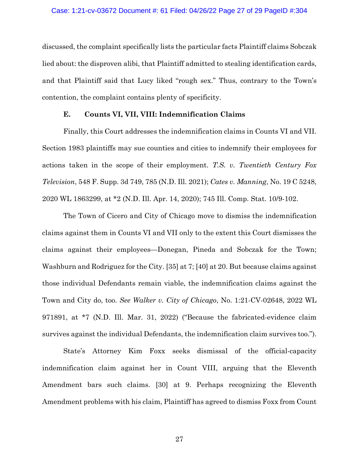## Case: 1:21-cv-03672 Document #: 61 Filed: 04/26/22 Page 27 of 29 PageID #:304

discussed, the complaint specifically lists the particular facts Plaintiff claims Sobczak lied about: the disproven alibi, that Plaintiff admitted to stealing identification cards, and that Plaintiff said that Lucy liked "rough sex." Thus, contrary to the Town's contention, the complaint contains plenty of specificity.

# **E. Counts VI, VII, VIII: Indemnification Claims**

Finally, this Court addresses the indemnification claims in Counts VI and VII. Section 1983 plaintiffs may sue counties and cities to indemnify their employees for actions taken in the scope of their employment. *T.S. v. Twentieth Century Fox Television*, 548 F. Supp. 3d 749, 785 (N.D. Ill. 2021); *Cates v. Manning*, No. 19 C 5248, 2020 WL 1863299, at \*2 (N.D. Ill. Apr. 14, 2020); 745 Ill. Comp. Stat. 10/9-102.

The Town of Cicero and City of Chicago move to dismiss the indemnification claims against them in Counts VI and VII only to the extent this Court dismisses the claims against their employees—Donegan, Pineda and Sobczak for the Town; Washburn and Rodriguez for the City. [35] at 7; [40] at 20. But because claims against those individual Defendants remain viable, the indemnification claims against the Town and City do, too. *See Walker v. City of Chicago*, No. 1:21-CV-02648, 2022 WL 971891, at \*7 (N.D. Ill. Mar. 31, 2022) ("Because the fabricated-evidence claim survives against the individual Defendants, the indemnification claim survives too.").

State's Attorney Kim Foxx seeks dismissal of the official-capacity indemnification claim against her in Count VIII, arguing that the Eleventh Amendment bars such claims. [30] at 9. Perhaps recognizing the Eleventh Amendment problems with his claim, Plaintiff has agreed to dismiss Foxx from Count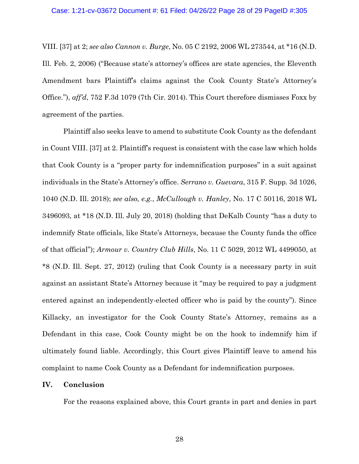VIII. [37] at 2; *see also Cannon v. Burge*, No. 05 C 2192, 2006 WL 273544, at \*16 (N.D. Ill. Feb. 2, 2006) ("Because state's attorney's offices are state agencies, the Eleventh Amendment bars Plaintiff's claims against the Cook County State's Attorney's Office."), *aff'd*, 752 F.3d 1079 (7th Cir. 2014). This Court therefore dismisses Foxx by agreement of the parties.

Plaintiff also seeks leave to amend to substitute Cook County as the defendant in Count VIII. [37] at 2. Plaintiff's request is consistent with the case law which holds that Cook County is a "proper party for indemnification purposes" in a suit against individuals in the State's Attorney's office. *Serrano v. Guevara*, 315 F. Supp. 3d 1026, 1040 (N.D. Ill. 2018); *see also, e.g.*, *McCullough v. Hanley*, No. 17 C 50116, 2018 WL 3496093, at \*18 (N.D. Ill. July 20, 2018) (holding that DeKalb County "has a duty to indemnify State officials, like State's Attorneys, because the County funds the office of that official"); *Armour v. Country Club Hills*, No. 11 C 5029, 2012 WL 4499050, at \*8 (N.D. Ill. Sept. 27, 2012) (ruling that Cook County is a necessary party in suit against an assistant State's Attorney because it "may be required to pay a judgment entered against an independently-elected officer who is paid by the county"). Since Killacky, an investigator for the Cook County State's Attorney, remains as a Defendant in this case, Cook County might be on the hook to indemnify him if ultimately found liable. Accordingly, this Court gives Plaintiff leave to amend his complaint to name Cook County as a Defendant for indemnification purposes.

# **IV. Conclusion**

For the reasons explained above, this Court grants in part and denies in part